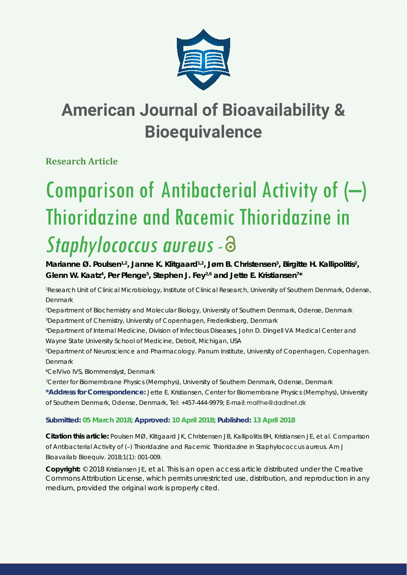

## **American Journal of Bioavailability & Bioequivalence**

**Research Article**

# Comparison of Antibacterial Activity of (–) Thioridazine and Racemic Thioridazine in Staphylococcus aureus - 8

Marianne Ø. Poulsen<sup>1,2</sup>, Janne K. Klitgaard<sup>1,2</sup>, Jørn B. Christensen<sup>3</sup>, Birgitte H. Kallipolitis<sup>2</sup>, Glenn W. Kaatz<sup>4</sup>, Per Plenge<sup>5</sup>, Stephen J. Fey<sup>2,6</sup> and Jette E. Kristiansen<sup>7\*</sup>

*1 Research Unit of Clinical Microbiology, Institute of Clinical Research, University of Southern Denmark, Odense, Denmark* 

*2 Department of Biochemistry and Molecular Biology, University of Southern Denmark, Odense, Denmark 3 Department of Chemistry, University of Copenhagen, Frederiksberg, Denmark*

*4 Department of Internal Medicine, Division of Infectious Diseases, John D. Dingell VA Medical Center and Wayne State University School of Medicine, Detroit, Michigan, USA*

*5 Department of Neuroscience and Pharmacology. Panum Institute, University of Copenhagen, Copenhagen. Denmark*

*6 CelVivo IVS, Blommenslyst, Denmark*

*7 Center for Biomembrane Physics (Memphys), University of Southern Denmark, Odense, Denmark* **\*Address for Correspondence:** Jette E. Kristiansen, Center for Biomembrane Physics (Memphys), University of Southern Denmark, Odense, Denmark, Tel: +457-444-9979; E-mail:

## **Submitted: 05 March 2018; Approved: 10 April 2018; Published: 13 April 2018**

**Citation this article:** Poulsen MØ, Klitgaard JK, Christensen JB, Kallipolitis BH, Kristiansen JE, et al. Comparison of Antibacterial Activity of (–) Thioridazine and Racemic Thioridazine in *Staphylococcus aureus*. Am J Bioavailab Bioequiv. 2018;1(1): 001-009.

**Copyright:** © 2018 Kristiansen JE, et al. This is an open access article distributed under the Creative Commons Attribution License, which permits unrestricted use, distribution, and reproduction in any medium, provided the original work is properly cited.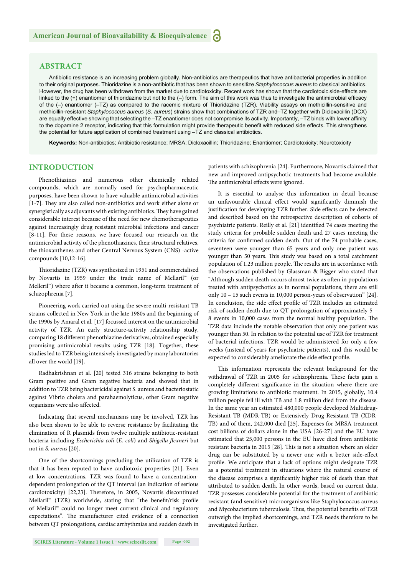## **ABSTRACT**

Antibiotic resistance is an increasing problem globally. Non-antibiotics are therapeutics that have antibacterial properties in addition to their original purposes. Thioridazine is a non-antibiotic that has been shown to sensitize *Staphylococcus aureus* to classical antibiotics. However, the drug has been withdrawn from the market due to cardiotoxicity. Recent work has shown that the cardiotoxic side-effects are linked to the  $(+)$  enantiomer of thioridazine but not to the  $(-)$  form. The aim of this work was thus to investigate the antimicrobial efficacy of the (–) enantiomer (–TZ) as compared to the racemic mixture of Thioridazine (TZR). Viability assays on methicillin-sensitive and methicillin-resistant *Staphylococcus aureus* (*S. aureus*) strains show that combinations of TZR and–TZ together with Dicloxacillin (DCX) are equally effective showing that selecting the –TZ enantiomer does not compromise its activity. Importantly, –TZ binds with lower affinity to the dopamine 2 receptor, indicating that this formulation might provide therapeutic benefit with reduced side effects. This strengthens the potential for future application of combined treatment using –TZ and classical antibiotics.

**Keywords:** Non-antibiotics; Antibiotic resistance; MRSA; Dicloxacillin; Thioridazine; Enantiomer; Cardiotoxicity; Neurotoxicity

## **INTRODUCTION**

Phenothiazines and numerous other chemically related compounds, which are normally used for psychopharmaceutic purposes, have been shown to have valuable antimicrobial activities [1-7]. They are also called non-antibiotics and work either alone or synergistically as adjuvants with existing antibiotics. They have gained considerable interest because of the need for new chemotherapeutics against increasingly drug resistant microbial infections and cancer [8-11]. For these reasons, we have focused our research on the antimicrobial activity of the phenothiazines, their structural relatives, the thioxanthenes and other Central Nervous System (CNS) -active compounds [10,12-16].

Thioridazine (TZR) was synthesized in 1951 and commercialised by Novartis in 1959 under the trade name of Mellaril™ (or Melleril<sup>™</sup>) where after it became a common, long-term treatment of schizophrenia [7].

Pioneering work carried out using the severe multi-resistant TB strains collected in New York in the late 1980s and the beginning of the 1990s by Amaral et al. [17] focussed interest on the antimicrobial activity of TZR. An early structure-activity relationship study, comparing 18 different phenothiazine derivatives, obtained especially promising antimicrobial results using TZR [18]. Together, these studies led to TZR being intensively investigated by many laboratories all over the world [19].

Radhakrishnan et al. [20] tested 316 strains belonging to both Gram positive and Gram negative bacteria and showed that in addition to TZR being bactericidal against S. aureus and bacteriostatic against Vibrio cholera and parahaemolyticus, other Gram negative organisms were also affected.

Indicating that several mechanisms may be involved, TZR has also been shown to be able to reverse resistance by facilitating the elimination of R plasmids from twelve multiple antibiotic-resistant bacteria including *Escherichia coli* (*E. coli*) and *Shigella flexneri* but not in *S. aureus* [20].

One of the shortcomings precluding the utilization of TZR is that it has been reputed to have cardiotoxic properties [21]. Even at low concentrations, TZR was found to have a concentrationdependent prolongation of the QT interval (an indication of serious cardiotoxicity) [22,23]. Therefore, in 2005, Novartis discontinued Mellaril™ (TZR) worldwide, stating that "the benefit/risk profile of Mellaril™ could no longer meet current clinical and regulatory expectations". The manufacturer cited evidence of a connection between QT prolongations, cardiac arrhythmias and sudden death in patients with schizophrenia [24]. Furthermore, Novartis claimed that new and improved antipsychotic treatments had become available. The antimicrobial effects were ignored.

It is essential to analyse this information in detail because an unfavourable clinical effect would significantly diminish the justification for developing TZR further. Side effects can be detected and described based on the retrospective description of cohorts of psychiatric patients. Reilly et al. [21] identified 74 cases meeting the study criteria for probable sudden death and 27 cases meeting the criteria for confirmed sudden death. Out of the 74 probable cases, seventeen were younger than 65 years and only one patient was younger than 50 years. This study was based on a total catchment population of 1.23 million people. The results are in accordance with the observations published by Glassman & Bigger who stated that "Although sudden death occurs almost twice as often in populations treated with antipsychotics as in normal populations, there are still only 10 – 15 such events in 10,000 person-years of observation" [24]. In conclusion, the side effect profile of TZR includes an estimated risk of sudden death due to QT prolongation of approximately 5 – 8 events in 10,000 cases from the normal healthy population. The TZR data include the notable observation that only one patient was younger than 50. In relation to the potential use of TZR for treatment of bacterial infections, TZR would be administered for only a few weeks (instead of years for psychiatric patients), and this would be expected to considerably ameliorate the side effect profile.

This information represents the relevant background for the withdrawal of TZR in 2005 for schizophrenia. These facts gain a completely different significance in the situation where there are growing limitations to antibiotic treatment. In 2015, globally, 10.4 million people fell ill with TB and 1.8 million died from the disease. In the same year an estimated 480,000 people developed Multidrug-Resistant TB (MDR-TB) or Extensively Drug-Resistant TB (XDR-TB) and of them, 242,000 died [25]. Expenses for MRSA treatment cost billions of dollars alone in the USA [26-27] and the EU have estimated that 25,000 persons in the EU have died from antibiotic resistant bacteria in 2015 [28]. This is not a situation where an older drug can be substituted by a newer one with a better side-effect profile. We anticipate that a lack of options might designate TZR as a potential treatment in situations where the natural course of the disease comprises a significantly higher risk of death than that attributed to sudden death. In other words, based on current data, TZR possesses considerable potential for the treatment of antibiotic resistant (and sensitive) microorganisms like Staphylococcus aureus and Mycobacterium tuberculosis. Thus, the potential benefits of TZR outweigh the implied shortcomings, and TZR needs therefore to be investigated further.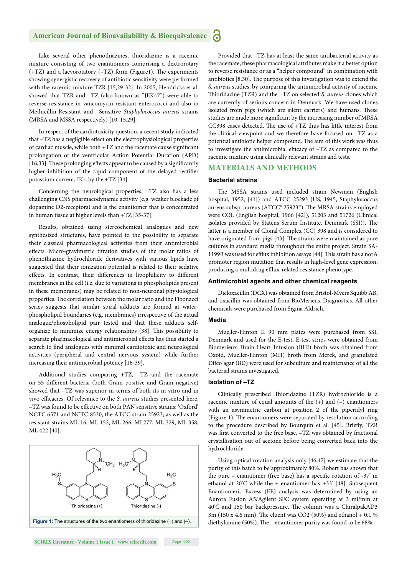#### **American Journal of Bioavailability & Bioequivalence P**

Like several other phenothiazines, thioridazine is a racemic mixture consisting of two enantiomers comprising a dextrorotary  $(+TZ)$  and a laevorotatory  $(-TZ)$  form (Figure1). The experiments showing synergistic recovery of antibiotic sensitivity were performed with the racemic mixture TZR [15,29-32]. In 2005, Hendricks et al. showed that TZR and –TZ (also known as "JEK47") were able to reverse resistance in vancomycin-resistant enterococci and also in Methicillin-Resistant and –Sensitive *Staphylococcus aureus* strains (MRSA and MSSA respectively) [10, 15,29].

In respect of the cardiotoxicity question, a recent study indicated that -TZ has a negligible effect on the electrophysiological properties of cardiac muscle, while both +TZ and the racemate cause significant prolongation of the ventricular Action Potential Duration (APD) [16,33]. These prolonging effects appear to be caused by a significantly higher inhibition of the rapid component of the delayed rectifier potassium current, IKr, by the +TZ [34].

Concerning the neurological properties, –TZ also has a less challenging CNS pharmacodynamic activity (e.g. weaker blockade of dopamine D2-receptors) and is the enantiomer that is concentrated in human tissue at higher levels than +TZ [35-37].

Results, obtained using stereochemical analogues and new synthesized structures, have pointed to the possibility to separate their classical pharmacological activities from their antimicrobial effects. Micro-gravimetric titration studies of the molar ratios of phenothiazine hydrochloride derivatives with various lipids have suggested that their ionization potential is related to their sedative effects. In contrast, their differences in lipophilicity to different membranes in the cell (i.e. due to variations in phospholipids present in these membranes) may be related to non-neuronal physiological properties. The correlation between the molar ratio and the Fibonacci series suggests that similar spiral adducts are formed at waterphospholipid boundaries (e.g. membranes) irrespective of the actual analogue/phospholipid pair tested and that these adducts selforganize to minimize energy relationships [38]. This possibility to separate pharmacological and antimicrobial effects has thus started a search to find analogues with minimal cardiotoxic and neurological activities (peripheral and central nervous system) while further increasing their antimicrobial potency [16-39].

Additional studies comparing +TZ, –TZ and the racemate on 55 different bacteria (both Gram positive and Gram negative) showed that –TZ was superior in terms of both its in vitro and in vivo efficacies. Of relevance to the *S. aureus* studies presented here, –TZ was found to be eff ective on both PAN sensitive strains: 'Oxford' NCTC 6571 and NCTC 8530, the ATCC strain 25923; as well as the resistant strains ML 16, ML 152, ML 266, ML277, ML 329, ML 358, ML 422 [40].



Provided that –TZ has at least the same antibacterial activity as the racemate, these pharmacological attributes make it a better option to reverse resistance or as a "helper compound" in combination with antibiotics  $[8,30]$ . The purpose of this investigation was to extend the *S. aureus* studies, by comparing the antimicrobial activity of racemic Thioridazine (TZR) and the -TZ on selected *S. aureus* clones which are currently of serious concern in Denmark. We have used clones isolated from pigs (which are silent carriers) and humans. These studies are made more significant by the increasing number of MRSA CC398 cases detected. The use of  $+TZ$  thus has little interest from the clinical viewpoint and we therefore have focused on –TZ as a potential antibiotic helper compound. The aim of this work was thus to investigate the antimicrobial efficacy of -TZ as compared to the racemic mixture using clinically relevant strains and tests.

## **MATERIALS AND METHODS**

#### **Bacterial strains**

The MSSA strains used included strain Newman (English hospital, 1952, [41]) and ATCC 25293 (US, 1945, Staphylococcus aureus subsp. aureus (ATCC® 25923™). The MRSA strains employed were COL (English hospital, 1966 [42]), 51203 and 51726 (Clinical isolates provided by Statens Serum Institute, Denmark (SSI)). The latter is a member of Clonal Complex (CC) 398 and is considered to have originated from pigs [43]. The strains were maintained as pure cultures in standard media throughout the entire project. Strain SA-1199B was used for efflux inhibition assays [44]. This strain has a norA promoter region mutation that results in high-level gene expression, producing a multidrug efflux-related resistance phenotype.

#### **Antimicrobial agents and other chemical reagents**

Dicloxacillin (DCX) was obtained from Bristol-Myers Squibb AB, and oxacillin was obtained from BioMerieux-Diagnostics. All other chemicals were purchased from Sigma Aldrich.

#### **Media**

Mueller-Hinton II 90 mm plates were purchased from SSI, Denmark and used for the E-test. E-test strips were obtained from Biomerieux. Brain Heart Infusion (BHI) broth was obtained from Oxoid, Mueller-Hinton (MH) broth from Merck, and granulated Difco agar (BD) were used for subculture and maintenance of all the bacterial strains investigated.

#### **Isolation of –TZ**

Clinically prescribed Thioridazine (TZR) hydrochloride is a racemic mixture of equal amounts of the (+) and (–) enantiomers with an asymmetric carbon at position 2 of the piperidyl ring (Figure 1). The enantiomers were separated by resolution according to the procedure described by Bourquin et al. [45]. Briefly, TZR was first converted to the free base. -TZ was obtained by fractional crystallisation out of acetone before being converted back into the hydrochloride.

Using optical rotation analysis only [46,47] we estimate that the purity of this batch to be approximately 80%. Robert has shown that the pure – enantiomer (free base) has a specific rotation of  $-37^\circ$  in ethanol at 20° C while the + enantiomer has +33° [48]. Subsequent Enantiomeric Excess (EE) analysis was determined by using an Aurora Fusion A5/Agilent SFC system operating at 3 ml/min at 40°C and 150 bar backpressure. The column was a ChiralpakAD3 3m (150 x 4.6 mm). The eluent was CO2 (50%) and ethanol + 0.1 % diethylamine (50%). The - enantiomer purity was found to be 68%.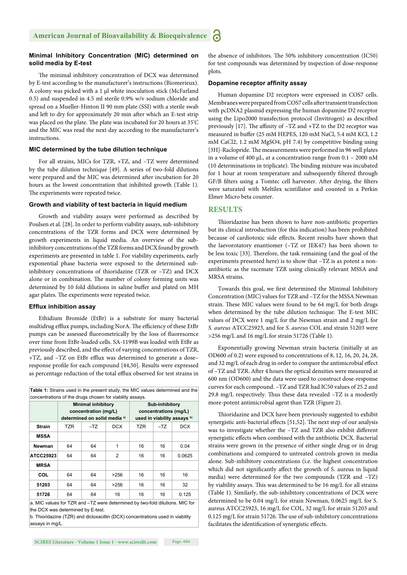#### **Minimal Inhibitory Concentration (MIC) determined on solid media by E-test**

The minimal inhibitory concentration of DCX was determined by E-test according to the manufacturer's instructions (Biomerieux). A colony was picked with a 1 μl white inoculation stick (McFarland 0.5) and suspended in 4.5 ml sterile 0.9% w/v sodium chloride and spread on a Mueller-Hinton II 90 mm plate (SSI) with a sterile swab and left to dry for approximately 20 min after which an E-test strip was placed on the plate. The plate was incubated for 20 hours at 35°C and the MIC was read the next day according to the manufacturer's instructions.

#### **MIC determined by the tube dilution technique**

For all strains, MICs for TZR, +TZ, and –TZ were determined by the tube dilution technique [49]. A series of two-fold dilutions were prepared and the MIC was determined after incubation for 20 hours as the lowest concentration that inhibited growth (Table 1). The experiments were repeated twice.

#### **Growth and viability of test bacteria in liquid medium**

Growth and viability assays were performed as described by Poulsen et al. [28]. In order to perform viability assays, sub-inhibitory concentrations of the TZR forms and DCX were determined by growth experiments in liquid media. An overview of the subinhibitory concentrations of the TZR forms and DCX found by growth experiments are presented in table 1. For viability experiments, early exponential phase bacteria were exposed to the determined subinhibitory concentrations of thioridazine (TZR or –TZ) and DCX alone or in combination. The number of colony forming units was determined by 10 fold dilutions in saline buffer and plated on MH agar plates. The experiments were repeated twice.

#### **Efflux inhibition assay**

Ethidium Bromide (EtBr) is a substrate for many bacterial multidrug efflux pumps, including NorA. The efficiency of these EtBr pumps can be assessed fluorometrically by the loss of fluorescence over time from EtBr-loaded cells. SA-1199B was loaded with EtBr as previously described, and the effect of varying concentrations of TZR, +TZ, and -TZ on EtBr efflux was determined to generate a doseresponse profile for each compound [44,50]. Results were expressed as percentage reduction of the total efflux observed for test strains in

**Table 1:** Strains used in the present study, the MIC values determined and the concentrations of the drugs chosen for viability assays.

| concentrations or the arags chosen for viability assays. |                                                                                              |       |                |                                                                        |       |            |
|----------------------------------------------------------|----------------------------------------------------------------------------------------------|-------|----------------|------------------------------------------------------------------------|-------|------------|
|                                                          | <b>Minimal inhibitory</b><br>concentration (mg/L)<br>determined on solid media <sup>a)</sup> |       |                | Sub-inhibitory<br>concentrations (mg/L)<br>used in viability assays b) |       |            |
| <b>Strain</b>                                            | <b>TZR</b>                                                                                   | $-TZ$ | <b>DCX</b>     | <b>TZR</b>                                                             | $-TZ$ | <b>DCX</b> |
| <b>MSSA</b>                                              |                                                                                              |       |                |                                                                        |       |            |
| Newman                                                   | 64                                                                                           | 64    | 1              | 16                                                                     | 16    | 0.04       |
| ATCC25923                                                | 64                                                                                           | 64    | $\overline{2}$ | 16                                                                     | 16    | 0.0625     |
| <b>MRSA</b>                                              |                                                                                              |       |                |                                                                        |       |            |
| COL                                                      | 64                                                                                           | 64    | >256           | 16                                                                     | 16    | 16         |
| 51203                                                    | 64                                                                                           | 64    | >256           | 16                                                                     | 16    | 32         |
| 51726                                                    | 64                                                                                           | 64    | 16             | 16                                                                     | 16    | 0.125      |
|                                                          |                                                                                              |       |                |                                                                        | .     |            |

a. MIC values for TZR and –TZ were determined by two-fold dilutions. MIC for the DCX was determined by E-test.

b. Thioridazine (TZR) and dicloxacillin (DCX) concentrations used in viability assays in mg/L.

#### **Dopamine receptor affinity assay**

Human dopamine D2 receptors were expressed in COS7 cells. Membranes were prepared from COS7 cells after transient transfection with pcDNA2 plasmid expressing the human dopamine D2 receptor using the Lipo2000 transfection protocol (Invitrogen) as described previously  $[17]$ . The affinity of  $-TZ$  and  $+TZ$  to the D2 receptor was measured in buffer (25 mM HEPES, 120 mM NaCl, 5.4 mM KCl, 1.2 mM CaCl2, 1.2 mM MgSO4, pH 7.4) by competitive binding using [3H]-Raclopride. The measurements were performed in 96 well plates in a volume of 400 μL, at a concentration range from 0.1 – 2000 nM (10 determinations in triplicate). The binding mixture was incubated for 1 hour at room temperature and subsequently filtered through GF/B filters using a Tomtec cell harvester. After drying, the filters were saturated with Meltilex scintillator and counted in a Perkin Elmer Micro beta counter.

#### **RESULTS**

Thioridazine has been shown to have non-antibiotic properties but its clinical introduction (for this indication) has been prohibited because of cardiotoxic side effects. Recent results have shown that the laevorotatory enantiomer (–TZ or JEK47) has been shown to be less toxic [33]. Therefore, the task remaining (and the goal of the experiments presented here) is to show that –TZ is as potent a nonantibiotic as the racemate TZR using clinically relevant MSSA and MRSA strains.

Towards this goal, we first determined the Minimal Inhibitory Concentration (MIC) values for TZR and –TZ for the MSSA Newman strain. These MIC values were found to be 64 mg/L for both drugs when determined by the tube dilution technique. The E-test MIC values of DCX were 1 mg/L for the Newman strain and 2 mg/L for *S. aureus* ATCC25923, and for *S. aureus* COL and strain 51203 were >256 mg/L and 16 mg/L for strain 51726 (Table 1).

Exponentially growing Newman strain bacteria (initially at an OD600 of 0.2) were exposed to concentrations of 8, 12, 16, 20, 24, 28, and 32 mg/L of each drug in order to compare the antimicrobial effect of -TZ and TZR. After 4 hours the optical densities were measured at 600 nm (OD600) and the data were used to construct dose-response curves for each compound. –TZ and TZR had IC50 values of 25.2 and 29.8 mg/L respectively. Thus these data revealed  $-TZ$  is a modestly more-potent antimicrobial agent than TZR (Figure 2).

Thioridazine and DCX have been previously suggested to exhibit synergistic anti-bacterial effects [51,52]. The next step of our analysis was to investigate whether the -TZ and TZR also exhibit different synergistic effects when combined with the antibiotic DCX. Bacterial strains were grown in the presence of either single drug or in drug combinations and compared to untreated controls grown in media alone. Sub-inhibitory concentrations (i.e. the highest concentration which did not significantly affect the growth of S. aureus in liquid media) were determined for the two compounds (TZR and –TZ) by viability assays. This was determined to be 16 mg/L for all strains (Table 1). Similarly, the sub-inhibitory concentrations of DCX were determined to be 0.04 mg/L for strain Newman, 0.0625 mg/L for S. aureus ATCC25923, 16 mg/L for COL, 32 mg/L for strain 51203 and 0.125 mg/L for strain 51726. The use of sub-inhibitory concentrations facilitates the identification of synergistic effects.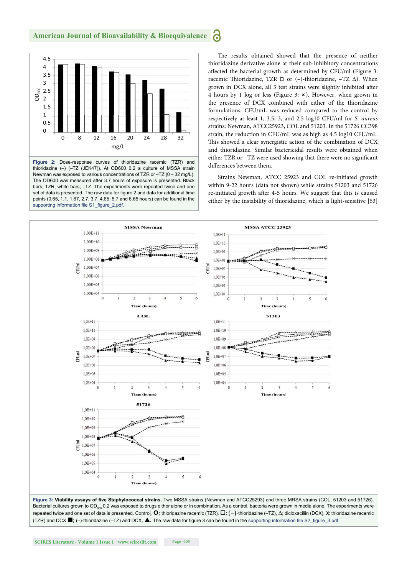

thioridazine (–) (–TZ (JEK47)). At OD600 0.2 a culture of MSSA strain Newman was exposed to various concentrations of TZR or –TZ (0 – 32 mg/L). The OD600 was measured after 3.7 hours of exposure is presented. Black bars; TZR, white bars; –TZ. The experiments were repeated twice and one set of data is presented. The raw data for figure 2 and data for additional time points (0.65, 1.1, 1.67, 2.7, 3.7, 4.65, 5.7 and 6.65 hours) can be found in the supporting information file S1\_figure\_2.pdf.

The results obtained showed that the presence of neither thioridazine derivative alone at their sub-inhibitory concentrations affected the bacterial growth as determined by CFU/ml (Figure 3: racemic Thioridazine, TZR □ or (-)-thioridazine, -TZ Δ). When grown in DCX alone, all 5 test strains were slightly inhibited after 4 hours by 1 log or less (Figure 3: ⨯). However, when grown in the presence of DCX combined with either of the thioridazine formulations, CFU/mL was reduced compared to the control by respectively at least 1, 3.5, 3, and 2.5 log10 CFU/ml for *S. aureus* strains: Newman, ATCC25923, COL and 51203. In the 51726 CC398 strain, the reduction in CFU/mL was as high as 4.5 log10 CFU/mL. This showed a clear synergistic action of the combination of DCX and thioridazine. Similar bactericidal results were obtained when either TZR or -TZ were used showing that there were no significant differences between them.

Strains Newman, ATCC 25923 and COL re-initiated growth within 9-22 hours (data not shown) while strains 51203 and 51726 re-initiated growth after 4-5 hours. We suggest that this is caused either by the instability of thioridazine, which is light-sensitive [53]

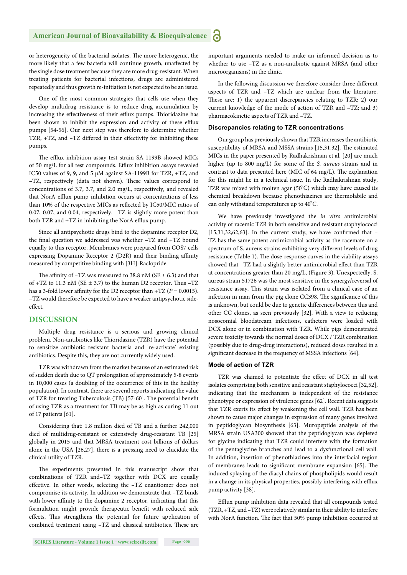#### **American Journal of Bioavailability & Bioequivalence** Ы

or heterogeneity of the bacterial isolates. The more heterogenic, the more likely that a few bacteria will continue growth, unaffected by the single dose treatment because they are more drug-resistant. When treating patients for bacterial infections, drugs are administered repeatedly and thus growth re-initiation is not expected to be an issue.

One of the most common strategies that cells use when they develop multidrug resistance is to reduce drug accumulation by increasing the effectiveness of their efflux pumps. Thioridazine has been shown to inhibit the expression and activity of these efflux pumps [54-56]. Our next step was therefore to determine whether TZR, +TZ, and -TZ differed in their effectivity for inhibiting these pumps.

The efflux inhibition assay test strain SA-1199B showed MICs of 50 mg/L for all test compounds. Efflux inhibition assays revealed IC50 values of 9, 9, and 5 μM against SA-1199B for TZR, +TZ, and -TZ, respectively (data not shown). These values correspond to concentrations of 3.7, 3.7, and 2.0 mg/L, respectively, and revealed that NorA efflux pump inhibition occurs at concentrations of less than 10% of the respective MICs as reflected by IC50/MIC ratios of 0.07, 0.07, and 0.04, respectively. –TZ is slightly more potent than both TZR and +TZ in inhibiting the NorA efflux pump.

Since all antipsychotic drugs bind to the dopamine receptor D2, the final question we addressed was whether -TZ and +TZ bound equally to this receptor. Membranes were prepared from COS7 cells expressing Dopamine Receptor 2 (D2R) and their binding affinity measured by competitive binding with [3H]-Raclopride.

The affinity of  $-TZ$  was measured to 38.8 nM (SE  $\pm$  6.3) and that of  $+TZ$  to 11.3 nM (SE  $\pm$  3.7) to the human D2 receptor. Thus  $-TZ$ has a 3-fold lower affinity for the D2 receptor than  $+TZ$  ( $P = 0.0015$ ). –TZ would therefore be expected to have a weaker antipsychotic sideeffect

## **DISCUSSION**

Multiple drug resistance is a serious and growing clinical problem. Non-antibiotics like Thioridazine (TZR) have the potential to sensitize antibiotic resistant bacteria and 're-activate' existing antibiotics. Despite this, they are not currently widely used.

TZR was withdrawn from the market because of an estimated risk of sudden death due to QT prolongation of approximately 5-8 events in 10,000 cases (a doubling of the occurrence of this in the healthy population). In contrast, there are several reports indicating the value of TZR for treating Tuberculosis (TB) [57-60]. The potential benefit of using TZR as a treatment for TB may be as high as curing 11 out of 17 patients [61].

Considering that: 1.8 million died of TB and a further 242,000 died of multidrug-resistant or extensively drug-resistant TB [25] globally in 2015 and that MRSA treatment cost billions of dollars alone in the USA [26,27], there is a pressing need to elucidate the clinical utility of TZR.

The experiments presented in this manuscript show that combinations of TZR and–TZ together with DCX are equally effective. In other words, selecting the -TZ enantiomer does not compromise its activity. In addition we demonstrate that –TZ binds with lower affinity to the dopamine 2 receptor, indicating that this formulation might provide therapeutic benefit with reduced side effects. This strengthens the potential for future application of combined treatment using -TZ and classical antibiotics. These are important arguments needed to make an informed decision as to whether to use –TZ as a non-antibiotic against MRSA (and other microorganisms) in the clinic.

In the following discussion we therefore consider three different aspects of TZR and –TZ which are unclear from the literature. These are: 1) the apparent discrepancies relating to TZR; 2) our current knowledge of the mode of action of TZR and –TZ; and 3) pharmacokinetic aspects of TZR and –TZ.

#### **Discrepancies relating to TZR concentrations**

Our group has previously shown that TZR increases the antibiotic susceptibility of MRSA and MSSA strains [15,31,32]. The estimated MICs in the paper presented by Radhakrishnan et al. [20] are much higher (up to 800 mg/L) for some of the *S. aureus* strains and in contrast to data presented here (MIC of 64 mg/L). The explanation for this might lie in a technical issue. In the Radhakrishnan study, TZR was mixed with molten agar  $(50^{\circ}C)$  which may have caused its chemical breakdown because phenothiazines are thermolabile and can only withstand temperatures up to  $40^{\circ}$ C.

We have previously investigated the *in vitro* antimicrobial activity of racemic TZR in both sensitive and resistant staphylococci  $[15,31,32,62,63]$ . In the current study, we have confirmed that -TZ has the same potent antimicrobial activity as the racemate on a spectrum of S. aureus strains exhibiting very different levels of drug resistance (Table 1). The dose-response curves in the viability assays showed that -TZ had a slightly better antimicrobial effect than TZR at concentrations greater than 20 mg/L, (Figure 3). Unexpectedly, S. aureus strain 51726 was the most sensitive in the synergy/reversal of resistance assay. This strain was isolated from a clinical case of an infection in man from the pig clone CC398. The significance of this is unknown, but could be due to genetic differences between this and other CC clones, as seen previously [32]. With a view to reducing nosocomial bloodstream infections, catheters were loaded with DCX alone or in combination with TZR. While pigs demonstrated severe toxicity towards the normal doses of DCX / TZR combination (possibly due to drug-drug interactions), reduced doses resulted in a significant decrease in the frequency of MSSA infections [64].

#### **Mode of action of TZR**

TZR was claimed to potentiate the effect of DCX in all test isolates comprising both sensitive and resistant staphylococci [32,52], indicating that the mechanism is independent of the resistance phenotype or expression of virulence genes [62]. Recent data suggests that TZR exerts its effect by weakening the cell wall. TZR has been shown to cause major changes in expression of many genes involved in peptidoglycan biosynthesis [63]. Muropeptide analysis of the MRSA strain USA300 showed that the peptidoglycan was depleted for glycine indicating that TZR could interfere with the formation of the pentaglycine branches and lead to a dysfunctional cell wall. In addition, insertion of phenothiazines into the interfacial region of membranes leads to significant membrane expansion [65]. The induced splaying of the diacyl chains of phospholipids would result in a change in its physical properties, possibly interfering with efflux pump activity [38].

Efflux pump inhibition data revealed that all compounds tested (TZR, +TZ, and –TZ) were relatively similar in their ability to interfere with NorA function. The fact that 50% pump inhibition occurred at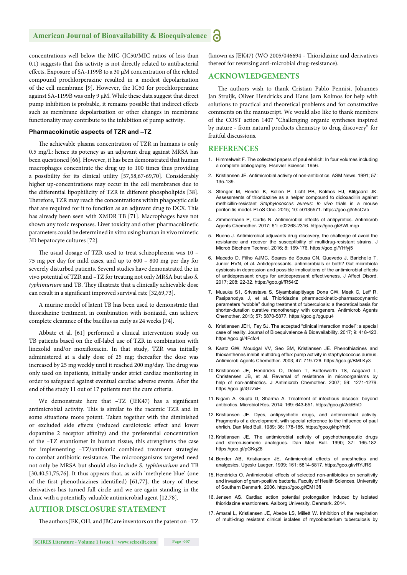#### **American Journal of Bioavailability & Bioequivalence P**

concentrations well below the MIC (IC50/MIC ratios of less than 0.1) suggests that this activity is not directly related to antibacterial effects. Exposure of SA-1199B to a 30 μM concentration of the related compound prochlorperazine resulted in a modest depolarization of the cell membrane [9]. However, the IC50 for prochlorperazine against SA-1199B was only 9 μM. While these data suggest that direct pump inhibition is probable, it remains possible that indirect effects such as membrane depolarization or other changes in membrane functionality may contribute to the inhibition of pump activity.

#### **Pharmacokinetic aspects of TZR and –TZ**

The achievable plasma concentration of TZR in humans is only 0.5 mg/L: hence its potency as an adjuvant drug against MRSA has been questioned [66]. However, it has been demonstrated that human macrophages concentrate the drug up to 100 times thus providing a possibility for its clinical utility [57,58,67-69,70]. Considerably higher up-concentrations may occur in the cell membranes due to the differential lipophilicity of TZR in different phospholipids [38]. Therefore, TZR may reach the concentrations within phagocytic cells that are required for it to function as an adjuvant drug to DCX. This has already been seen with XMDR TB [71]. Macrophages have not shown any toxic responses. Liver toxicity and other pharmacokinetic parameters could be determined in vitro using human in vivo mimetic 3D hepatocyte cultures [72].

The usual dosage of TZR used to treat schizophrenia was 10 -75 mg per day for mild cases, and up to 600 – 800 mg per day for severely disturbed patients. Several studies have demonstrated the in vivo potential of TZR and –TZ for treating not only MRSA but also *S. typhimurium* and TB. They illustrate that a clinically achievable dose can result in a significant improved survival rate [32,69,73].

A murine model of latent TB has been used to demonstrate that thioridazine treatment, in combination with isoniazid, can achieve complete clearance of the bacillus as early as 24 weeks [74].

Abbate et al. [61] performed a clinical intervention study on TB patients based on the off-label use of TZR in combination with linezolid and/or moxifloxacin. In that study, TZR was initially administered at a daily dose of 25 mg; thereafter the dose was increased by 25 mg weekly until it reached 200 mg/day. The drug was only used on inpatients, initially under strict cardiac monitoring in order to safeguard against eventual cardiac adverse events. After the end of the study 11 out of 17 patients met the cure criteria.

We demonstrate here that  $-TZ$  (JEK47) has a significant antimicrobial activity. This is similar to the racemic TZR and in some situations more potent. Taken together with the diminished or excluded side effects (reduced cardiotoxic effect and lower dopamine 2 receptor affinity) and the preferential concentration of the –TZ enantiomer in human tissue, this strengthens the case for implementing –TZ/antibiotic combined treatment strategies to combat antibiotic resistance. The microorganisms targeted need not only be MRSA but should also include *S. typhimurium* and TB [30,40,51,75,76]. It thus appears that, as with 'methylene blue' (one of the first phenothiazines identified)  $[61,77]$ , the story of these derivatives has turned full circle and we are again standing in the clinic with a potentially valuable antimicrobial agent [12,78].

## **AUTHOR DISCLOSURE STATEMENT**

The authors JEK, OH, and JBC are inventors on the patent on -TZ

(known as JEK47) (WO 2005/046694 - Thioridazine and derivatives thereof for reversing anti-microbial drug-resistance).

## **ACKNOWLEDGEMENTS**

The authors wish to thank Cristian Pablo Pennisi, Johannes Jan Struijk, Oliver Hendricks and Hans Jørn Kolmos for help with solutions to practical and theoretical problems and for constructive comments on the manuscript. We would also like to thank members of the COST action 1407 "Challenging organic syntheses inspired by nature - from natural products chemistry to drug discovery" for fruitful discussions.

#### **REFERENCES**

- 1. Himmelweit F. The collected papers of paul ehrlich: In four volumes including a complete bibliography. Elsevier Science: 1956.
- 2. Kristiansen JE. Antimicrobial activity of non-antibiotics. ASM News. 1991; 57: 135-139.
- 3. Stenger M, Hendel K, Bollen P, Licht PB, Kolmos HJ, Klitgaard JK. Assessments of thioridazine as a helper compound to dicloxacillin against methicillin-resistant *Staphylococcus aureus*: *In vivo* trials in a mouse peritonitis model. PLoS One. 2015; 10: e0135571. https://goo.gl/n5cCVb
- 4. Zimmermann P, Curtis N. Antimicrobial effects of antipyretics. Antimicrob Agents Chemother. 2017; 61: e02268-2316. https://goo.gl/SWLmqp
- 5. Bueno J. Antimicrobial adjuvants drug discovery, the challenge of avoid the resistance and recover the susceptibility of multidrug-resistant strains. J Microb Biochem Technol. 2016; 8: 169-176. https://goo.gl/YHfyj5
- 6. Macedo D, Filho AJMC, Soares de Sousa CN, Quevedo J, Barichello T, Junior HVN, et al. Antidepressants, antimicrobials or both? Gut microbiota dysbiosis in depression and possible implications of the antimicrobial effects of antidepressant drugs for antidepressant effectiveness. J Affect Disord. 2017; 208: 22-32. https://goo.gl/fR54rZ
- 7. Musuka S1, Srivastava S, Siyambalapitiyage Dona CW, Meek C, Leff R, Pasipanodya J, et al. Thioridazine pharmacokinetic-pharmacodynamic parameters "wobble" during treatment of tuberculosis: a theoretical basis for shorter-duration curative monotherapy with congeners. Antimicrob Agents Chemother. 2013; 57: 5870-5877. https://goo.gl/qgupu4
- 8. Kristiansen JEH, Fey SJ. The accepted "clinical interaction model": a special case of reality. Journal of Bioequivalence & Bioavailability. 2017; 9: 418-423. https://goo.gl/4Fcfo4
- 9. Kaatz GW, Moudgal VV, Seo SM, Kristiansen JE. Phenothiazines and thioxanthenes inhibit multidrug efflux pump activity in staphylococcus aureus. Antimicrob Agents Chemother. 2003; 47: 719-726. https://goo.gl/BMLKy3
- 10. Kristiansen JE, Hendricks O, Delvin T, Butterworth TS, Aagaard L, Christensen JB, et al. Reversal of resistance in microorganisms by help of non-antibiotics. J Antimicrob Chemother. 2007; 59: 1271-1279. https://goo.gl/iGzZxH
- 11. Nigam A, Gupta D, Sharma A. Treatment of infectious disease: beyond antibiotics. Microbiol Res. 2014; 169: 643-651. https://goo.gl/2ddBhD
- 12. Kristiansen JE. Dyes, antipsychotic drugs, and antimicrobial activity. Fragments of a development, with special reference to the influence of paul ehrlich. Dan Med Bull. 1989; 36: 178-185. https://goo.gl/hpYhtK
- 13. Kristiansen JE. The antimicrobial activity of psychotherapeutic drugs and stereo-isomeric analogues. Dan Med Bull. 1990; 37: 165-182. https://goo.gl/pGKqZ8
- 14. Bender AB, Kristiansen JE. Antimicrobial effects of anesthetics and analgesics. Ugeskr Laeger. 1999; 161: 5814-5817. https://goo.gl/vRYJRS
- 15. Hendricks O. Antimicrobial effects of selected non-antibiotics on sensitivity and invasion of gram-positive bacteria. Faculty of Health Sciences. University of Southern Denmark. 2006. https://goo.gl/EM13fi
- 16. Jensen AS. Cardiac action potential prolongation induced by isolated thioridazine enantiomers. Aalborg University. Denmark. 2014.
- 17. Amaral L, Kristiansen JE, Abebe LS, Millett W. Inhibition of the respiration of multi-drug resistant clinical isolates of mycobacterium tuberculosis by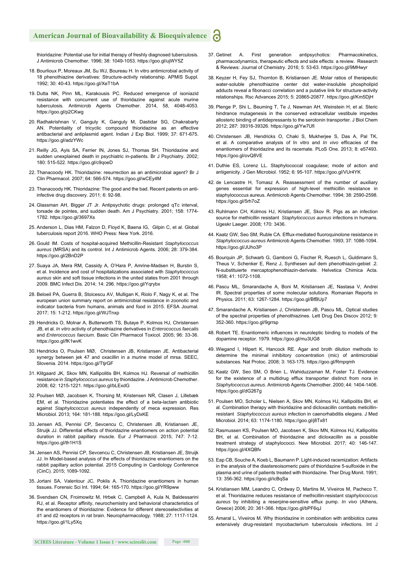## **American Journal of Bioavailability & Bioequivalence**

thioridazine: Potential use for initial therapy of freshly diagnosed tuberculosis. J Antimicrob Chemother. 1996; 38: 1049-1053. https://goo.gl/ujWY5Z

- 18. Bourlioux P, Moreaux JM, Su WJ, Boureau H. In vitro antimicrobial activity of 18 phenothiazine derivatives: Structure-activity relationship. APMIS Suppl. 1992; 30: 40-43. https://goo.gl/XeT1bA
- 19. Dutta NK, Pinn ML, Karakousis PC. Reduced emergence of isoniazid resistance with concurrent use of thioridazine against acute murine tuberculosis. Antimicrob Agents Chemother. 2014, 58, 4048-4053. https://goo.gl/p2CKwg
- 20. Radhakrishnan V, Ganguly K, Ganguly M, Dastidar SG, Chakrabarty AN. Potentiality of tricyclic compound thioridazine as an effective antibacterial and antiplasmid agent. Indian J Exp Biol. 1999; 37: 671-675. https://goo.gl/adzYWc
- 21. Reilly JG, Ayis SA, Ferrier IN, Jones SJ, Thomas SH. Thioridazine and sudden unexplained death in psychiatric in-patients. Br J Psychiatry. 2002; 180: 515-522. https://goo.gl/c9qoeD
- 22. Thanacoody HK. Thioridazine: resurrection as an antimicrobial agent? Br J Clin Pharmacol. 2007; 64: 566-574. https://goo.gl/wCEy4M
- 23. Thanacoody HK. Thioridazine: The good and the bad. Recent patents on antiinfective drug discovery. 2011; 6: 92-98.
- 24. Glassman AH, Bigger JT Jr. Antipsychotic drugs: prolonged qTc interval, torsade de pointes, and sudden death. Am J Psychiatry. 2001; 158: 1774- 1782. https://goo.gl/3697Xs
- 25. Anderson L, Dias HM, Falzon D, Floyd K, Baena IG, Gilpin C, et al. Global tuberculosis report 2016. WHO Press: New York. 2016.
- 26. Gould IM. Costs of hospital-acquired Methicillin-Resistant *Staphylococcus aureus* (MRSA) and its control. Int J Antimicrob Agents. 2006; 28: 379-384. https://goo.gl/2BnD2P
- 27. Suaya JA, Mera RM, Cassidy A, O'Hara P, Amrine-Madsen H, Burstin S, et al. Incidence and cost of hospitalizations associated with *Staphylococcus aureus* skin and soft tissue infections in the united states from 2001 through 2009. BMC Infect Dis. 2014; 14: 296. https://goo.gl/Yqrybx
- 28. Beloeil PA, Guerra B, Stoicescu AV, Mulligan K, Riolo F, Nagy K, et al. The european union summary report on antimicrobial resistance in zoonotic and indicator bacteria from humans, animals and food in 2015. EFSA Journal. 2017; 15: 1-212. https://goo.gl/WJTnxp
- 29. Hendricks O, Molnar A, Butterworth TS, Butaye P, Kolmos HJ, Christensen JB, et al. *In vitro* activity of phenothiazine derivatives in *Enterococcus faecalis* and *Enterococcus faecium*. Basic Clin Pharmacol Toxicol. 2005; 96: 33-36. https://goo.gl/fK1wvK
- 30. Hendricks O, Poulsen MØ, Christensen JB, Kristiansen JE. Antibacterial synergy between jek 47 and oxacillin in a murine model of mrsa. SEEC, Slovenia. 2014. https://goo.gl/TtjrGF
- 31. Klitgaard JK, Skov MN, Kallipolitis BH, Kolmos HJ. Reversal of methicillin resistance in *Staphylococcus aureus* by thioridazine. J Antimicrob Chemother. 2008; 62: 1215-1221. https://goo.gl/bLExdG
- 32. Poulsen MØ, Jacobsen K, Thorsing M, Kristensen NR, Clasen J, Lillebæk EM, et al. Thioridazine potentiates the effect of a beta-lactam antibiotic against *Staphylococcus aureus* independently of meca expression. Res Microbiol. 2013; 164: 181-188. https://goo.gl/LyDxKE
- 33. Jensen AS, Pennisi CP, Sevcencu C, Christensen JB, Kristiansen JE, Struijk JJ. Differential effects of thioridazine enantiomers on action potential duration in rabbit papillary muscle. Eur J Pharmacol. 2015; 747: 7-12. https://goo.gl/th1H1S
- 34. Jensen AS, Pennisi CP, Sevcencu C, Christensen JB, Kristiansen JE, Struijk JJ. In Model-based analysis of the effects of thioridazine enantiomers on the rabbit papillary action potential. 2015 Computing in Cardiology Conference (CinC). 2015; 1089-1092.
- 35. Jortani SA, Valentour JC, Poklis A. Thioridazine enantiomers in human tissues. Forensic Sci Int. 1994; 64: 165-170. https://goo.gl/YR9pww
- 36. Svendsen CN, Froimowitz M, Hrbek C, Campbell A, Kula N, Baldessarini RJ, et al. Receptor affinity, neurochemistry and behavioral characteristics of the enantiomers of thioridazine: Evidence for different stereoselectivities at d1 and d2 receptors in rat brain. Neuropharmacology. 1988; 27: 1117-1124. https://goo.gl/1Ly5Xq
- 37. Getinet A. First generation antipsychotics: Pharmacokinetics, pharmacodynamics, therapeutic effects and side effects: a review. Research & Reviews: Journal of Chemistry. 2016; 5: 53-63. https://goo.gl/9MHwyr
- 38. Keyzer H, Fey SJ, Thornton B, Kristiansen JE. Molar ratios of therapeutic water-soluble phenothiazine center dot water-insoluble phospholipid adducts reveal a fibonacci correlation and a putative link for structure-activity relationships. Rsc Advances 2015; 5: 20865-20877. https://goo.gl/Km5DjH
- 39. Plenge P, Shi L, Beuming T, Te J, Newman AH, Weinstein H, et al. Steric hindrance mutagenesis in the conserved extracellular vestibule impedes allosteric binding of antidepressants to the serotonin transporter. J Biol Chem 2012; 287: 39316-39326. https://goo.gl/Yw7Ufi
- 40. Christensen JB, Hendricks O, Chaki S, Mukherjee S, Das A, Pal TK, et al. A comparative analysis of In vitro and *In vivo* efficacies of the enantiomers of thioridazine and its racemate. PLoS One. 2013; 8: e57493. https://goo.gl/ovQ8VE
- 41. Duthie ES, Lorenz LL. Staphylococcal coagulase; mode of action and antigenicity. J Gen Microbiol. 1952; 6: 95-107. https://goo.gl/VUr4YK
- 42. de Lencastre H, Tomasz A. Reassessment of the number of auxiliary genes essential for expression of high-level methicillin resistance in staphylococcus aureus. Antimicrob Agents Chemother. 1994; 38: 2590-2598. https://goo.gl/5rh7oZ
- 43. Ruhlmann CH, Kolmos HJ, Kristiansen JE, Skov R. Pigs as an infection source for methicillin resistant *Staphylococcus aureus* infections in humans. Ugeskr Laeger. 2008; 170: 3436.
- 44. Kaatz GW, Seo SM, Ruble CA, Efflux-mediated fluoroquinolone resistance in *Staphylococcus-aureus* Antimicrob Agents Chemother. 1993; 37: 1086-1094. https://goo.gl/JUho3P
- 45. Bourquin JP, Schwarb G, Gamboni G, Fischer R, Ruesch L, Guldimann S, Theus V, Schenker E, Renz J, Synthesen auf dem phenothiazin-gebiet .2. N-substituierte mercaptophenothiazin-derivate. Helvetica Chimica Acta. 1958; 41: 1072-1108.
- 46. Pascu ML, Smarandache A, Boni M, Kristiansen JE, Nastasa V, Andrei IR. Spectral properties of some molecular solutions. Romanian Reports in Physics. 2011; 63: 1267-1284. https://goo.gl/BfBUp7
- 47. Smarandache A, Kristiansen J, Christensen JB, Pascu ML. Optical studies of the spectral properties of phenothiazines. Lett Drug Des Discov 2012; 9: 352-360. https://goo.gl/9grrsp
- 48. Robert TE. Enantiomeric influences in neuroleptic binding to models of the dopamine receptor. 1979. https://goo.gl/mu3UG8
- 49. Wiegand I, Hilpert K, Hancock RE. Agar and broth dilution methods to determine the minimal inhibitory concentration (mic) of antimicrobial substances. Nat Protoc. 2008; 3: 163-175. https://goo.gl/Rmpqmh
- 50. Kaatz GW, Seo SM, O Brien L, Wahiduzzaman M, Foster TJ. Evidence for the existence of a multidrug efflux transporter distinct from nora in *Staphylococcus aureus*. Antimicrob Agents Chemother. 2000; 44: 1404-1406. https://goo.gl/dG267g
- 51. Poulsen MO, Scholer L, Nielsen A, Skov MN, Kolmos HJ, Kallipolitis BH, et al. Combination therapy with thioridazine and dicloxacillin combats meticillinresistant *Staphylococcus aureus* infection in caenorhabditis elegans. J Med Microbiol. 2014; 63: 1174-1180. https://goo.gl/j8Tx81
- 52. Rasmussen KS, Poulsen MO, Jacobsen K, Skov MN, Kolmos HJ, Kallipolitis BH, et al. Combination of thioridazine and dicloxacillin as a possible treatment strategy of staphylococci. New Microbiol. 2017; 40: 146-147. https://goo.gl/4XQBfv
- 53. Eap CB, Souche A, Koeb L, Baumann P. Light-induced racemization: Artifacts in the analysis of the diastereoisomeric pairs of thioridazine 5-sulfoxide in the plasma and urine of patients treated with thioridazine. Ther Drug Monit. 1991; 13: 356-362. https://goo.gl/icBqSa
- 54. Kristiansen MM, Leandro C, Ordway D, Martins M, Viveiros M, Pacheco T, et al. Thioridazine reduces resistance of methicillin-resistant *staphylococcus*  aureus by inhibiting a reserpine-sensitive efflux pump. *In vivo* (Athens, Greece) 2006; 20: 361-366. https://goo.gl/bPF6qJ
- 55. Amaral L, Viveiros M. Why thioridazine in combination with antibiotics cures extensively drug-resistant mycobacterium tuberculosis infections. Int J